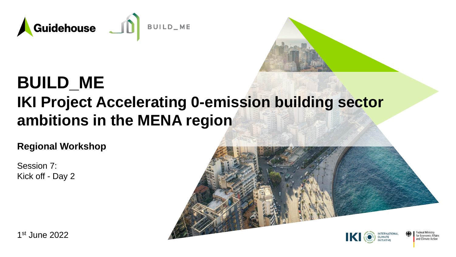

## **BUILD\_ME IKI Project Accelerating 0-emission building sector ambitions in the MENA region**

**Regional Workshop**

Session 7: Kick off - Day 2



1 st June 2022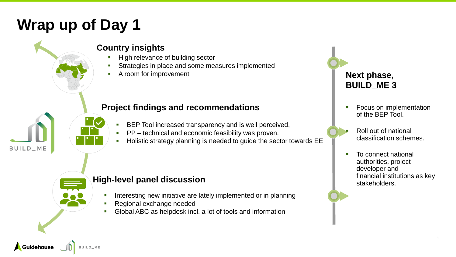## **Wrap up of Day 1**



#### **Country insights**

- High relevance of building sector
- Strategies in place and some measures implemented
- A room for improvement

#### **Project findings and recommendations**

- BEP Tool increased transparency and is well perceived,
- PP technical and economic feasibility was proven.
- Holistic strategy planning is needed to guide the sector towards EE

BUILD\_ME

**Guidehouse** 

#### **High-level panel discussion**

- Interesting new initiative are lately implemented or in planning
- Regional exchange needed
- Global ABC as helpdesk incl. a lot of tools and information

### **Next phase, BUILD\_ME 3**

- **Focus on implementation** of the BEP Tool.
- - Roll out of national classification schemes.
	- To connect national authorities, project developer and financial institutions as key stakeholders.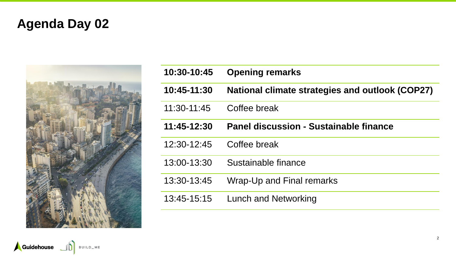## **Agenda Day 02**



| 10:30-10:45   | <b>Opening remarks</b>                                 |
|---------------|--------------------------------------------------------|
| 10:45-11:30   | <b>National climate strategies and outlook (COP27)</b> |
| $11:30-11:45$ | Coffee break                                           |
| 11:45-12:30   | Panel discussion - Sustainable finance                 |
| 12:30-12:45   | Coffee break                                           |
| 13:00-13:30   | Sustainable finance                                    |
| 13:30-13:45   | Wrap-Up and Final remarks                              |
| 13:45-15:15   | Lunch and Networking                                   |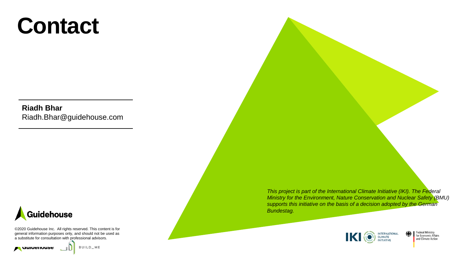# **Contact**

**Riadh Bhar** Riadh.Bhar@guidehouse.com



©2020 Guidehouse Inc. All rights reserved. This content is for general information purposes only, and should not be used as a substitute for consultation with professional advisors.

**A** durientions

BUILD\_ME

*This project is part of the International Climate Initiative (IKI). The Federal Ministry for the Environment, Nature Conservation and Nuclear Safety (BMU) supports this initiative on the basis of a decision adopted by the German Bundestag.* 



**Federal Ministry** for Economic Affairs<br>and Climate Action